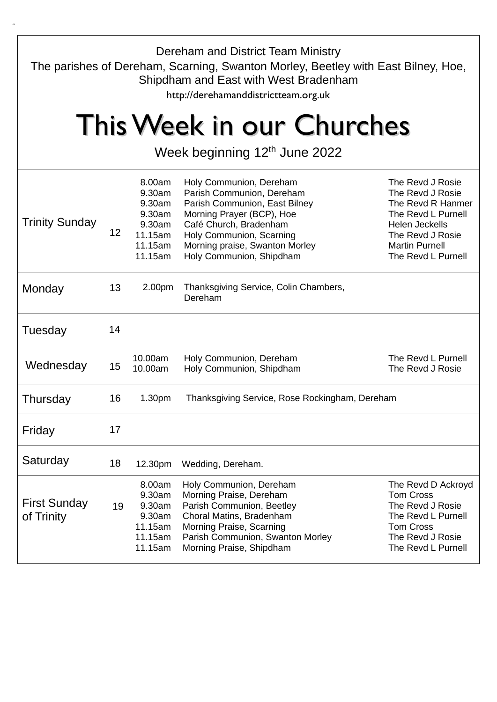| Dereham and District Team Ministry<br>The parishes of Dereham, Scarning, Swanton Morley, Beetley with East Bilney, Hoe,<br>Shipdham and East with West Bradenham<br>http://derehamanddistrictteam.org.uk |    |                                                                                 |                                                                                                                                                                                                                                        |                                                                                                                                                                             |
|----------------------------------------------------------------------------------------------------------------------------------------------------------------------------------------------------------|----|---------------------------------------------------------------------------------|----------------------------------------------------------------------------------------------------------------------------------------------------------------------------------------------------------------------------------------|-----------------------------------------------------------------------------------------------------------------------------------------------------------------------------|
| This Week in our Churches<br>Week beginning 12 <sup>th</sup> June 2022                                                                                                                                   |    |                                                                                 |                                                                                                                                                                                                                                        |                                                                                                                                                                             |
| <b>Trinity Sunday</b>                                                                                                                                                                                    | 12 | 8.00am<br>9.30am<br>9.30am<br>9.30am<br>9.30am<br>11.15am<br>11.15am<br>11.15am | Holy Communion, Dereham<br>Parish Communion, Dereham<br>Parish Communion, East Bilney<br>Morning Prayer (BCP), Hoe<br>Café Church, Bradenham<br>Holy Communion, Scarning<br>Morning praise, Swanton Morley<br>Holy Communion, Shipdham | The Revd J Rosie<br>The Revd J Rosie<br>The Revd R Hanmer<br>The Revd L Purnell<br><b>Helen Jeckells</b><br>The Revd J Rosie<br><b>Martin Purnell</b><br>The Revd L Purnell |
| Monday                                                                                                                                                                                                   | 13 | 2.00 <sub>pm</sub>                                                              | Thanksgiving Service, Colin Chambers,<br>Dereham                                                                                                                                                                                       |                                                                                                                                                                             |
| Tuesday                                                                                                                                                                                                  | 14 |                                                                                 |                                                                                                                                                                                                                                        |                                                                                                                                                                             |
| Wednesday                                                                                                                                                                                                | 15 | 10.00am<br>10.00am                                                              | Holy Communion, Dereham<br>Holy Communion, Shipdham                                                                                                                                                                                    | The Revd L Purnell<br>The Revd J Rosie                                                                                                                                      |
| Thursday                                                                                                                                                                                                 | 16 | 1.30 <sub>pm</sub>                                                              | Thanksgiving Service, Rose Rockingham, Dereham                                                                                                                                                                                         |                                                                                                                                                                             |
| Friday                                                                                                                                                                                                   | 17 |                                                                                 |                                                                                                                                                                                                                                        |                                                                                                                                                                             |
| Saturday                                                                                                                                                                                                 | 18 | 12.30pm                                                                         | Wedding, Dereham.                                                                                                                                                                                                                      |                                                                                                                                                                             |
| <b>First Sunday</b><br>of Trinity                                                                                                                                                                        | 19 | 8.00am<br>9.30am<br>9.30am<br>9.30am<br>11.15am<br>11.15am<br>11.15am           | Holy Communion, Dereham<br>Morning Praise, Dereham<br>Parish Communion, Beetley<br>Choral Matins, Bradenham<br>Morning Praise, Scarning<br>Parish Communion, Swanton Morley<br>Morning Praise, Shipdham                                | The Revd D Ackroyd<br><b>Tom Cross</b><br>The Revd J Rosie<br>The Revd L Purnell<br><b>Tom Cross</b><br>The Revd J Rosie<br>The Revd L Purnell                              |

+/16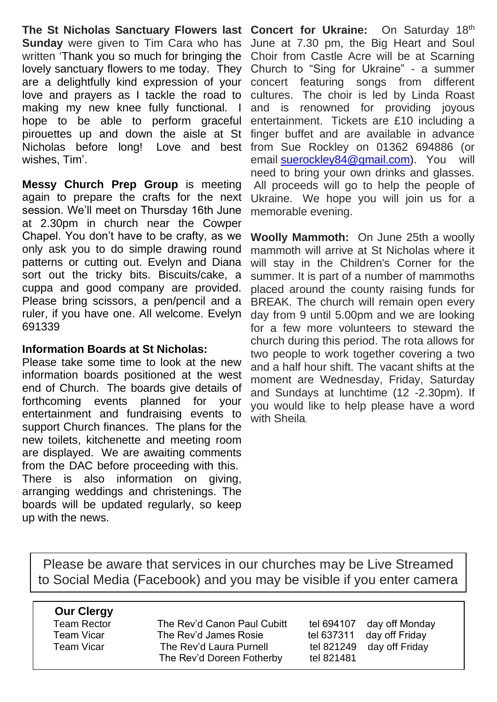**The St Nicholas Sanctuary Flowers last Concert for Ukraine:** On Saturday 18th **Sunday** were given to Tim Cara who has written 'Thank you so much for bringing the lovely sanctuary flowers to me today. They are a delightfully kind expression of your love and prayers as I tackle the road to making my new knee fully functional. I hope to be able to perform graceful pirouettes up and down the aisle at St Nicholas before long! Love and best wishes, Tim'.

**Messy Church Prep Group** is meeting again to prepare the crafts for the next session. We'll meet on Thursday 16th June at 2.30pm in church near the Cowper Chapel. You don't have to be crafty, as we only ask you to do simple drawing round patterns or cutting out. Evelyn and Diana sort out the tricky bits. Biscuits/cake, a cuppa and good company are provided. Please bring scissors, a pen/pencil and a ruler, if you have one. All welcome. Evelyn 691339

## **Information Boards at St Nicholas:**

Please take some time to look at the new information boards positioned at the west end of Church. The boards give details of forthcoming events planned for your entertainment and fundraising events to support Church finances. The plans for the new toilets, kitchenette and meeting room are displayed. We are awaiting comments from the DAC before proceeding with this. There is also information on giving, arranging weddings and christenings. The boards will be updated regularly, so keep up with the news.

June at 7.30 pm, the Big Heart and Soul Choir from Castle Acre will be at Scarning Church to "Sing for Ukraine" - a summer concert featuring songs from different cultures. The choir is led by Linda Roast and is renowned for providing joyous entertainment. Tickets are £10 including a finger buffet and are available in advance from Sue Rockley on 01362 694886 (or email [suerockley84@gmail.com\)](mailto:suerockley84@gmail.com). You will need to bring your own drinks and glasses. All proceeds will go to help the people of Ukraine. We hope you will join us for a memorable evening.

**Woolly Mammoth:** On June 25th a woolly mammoth will arrive at St Nicholas where it will stay in the Children's Corner for the summer. It is part of a number of mammoths placed around the county raising funds for BREAK. The church will remain open every day from 9 until 5.00pm and we are looking for a few more volunteers to steward the church during this period. The rota allows for two people to work together covering a two and a half hour shift. The vacant shifts at the moment are Wednesday, Friday, Saturday and Sundays at lunchtime (12 -2.30pm). If you would like to help please have a word with Sheila*.*

Please be aware that services in our churches may be Live Streamed to Social Media (Facebook) and you may be visible if you enter camera

shot. (The Staged area)'

## **Our Clergy**

Team Rector The Rev'd Canon Paul Cubitt tel 694107 day off Monday Team Vicar The Rev'd James Rosie tel 637311 day off Friday Team Vicar The Rev'd Laura Purnell tel 821249 day off Friday The Rev'd Doreen Fotherby tel 821481